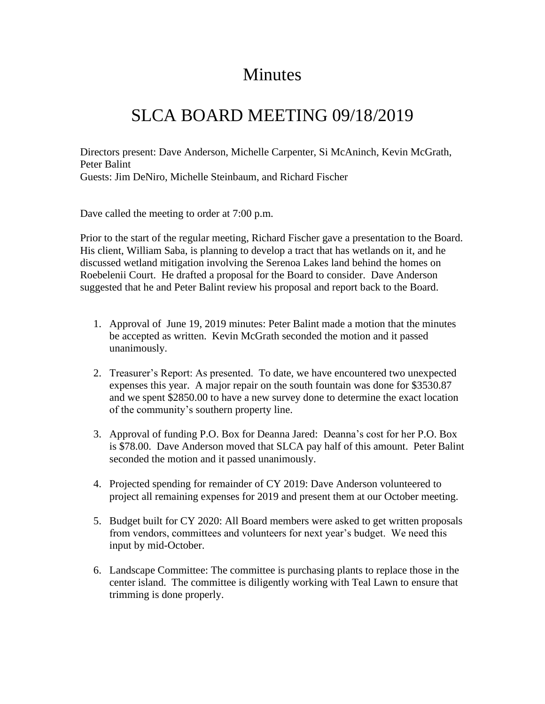## Minutes

## SLCA BOARD MEETING 09/18/2019

Directors present: Dave Anderson, Michelle Carpenter, Si McAninch, Kevin McGrath, Peter Balint Guests: Jim DeNiro, Michelle Steinbaum, and Richard Fischer

Dave called the meeting to order at 7:00 p.m.

Prior to the start of the regular meeting, Richard Fischer gave a presentation to the Board. His client, William Saba, is planning to develop a tract that has wetlands on it, and he discussed wetland mitigation involving the Serenoa Lakes land behind the homes on Roebelenii Court. He drafted a proposal for the Board to consider. Dave Anderson suggested that he and Peter Balint review his proposal and report back to the Board.

- 1. Approval of June 19, 2019 minutes: Peter Balint made a motion that the minutes be accepted as written. Kevin McGrath seconded the motion and it passed unanimously.
- 2. Treasurer's Report: As presented. To date, we have encountered two unexpected expenses this year. A major repair on the south fountain was done for \$3530.87 and we spent \$2850.00 to have a new survey done to determine the exact location of the community's southern property line.
- 3. Approval of funding P.O. Box for Deanna Jared: Deanna's cost for her P.O. Box is \$78.00. Dave Anderson moved that SLCA pay half of this amount. Peter Balint seconded the motion and it passed unanimously.
- 4. Projected spending for remainder of CY 2019: Dave Anderson volunteered to project all remaining expenses for 2019 and present them at our October meeting.
- 5. Budget built for CY 2020: All Board members were asked to get written proposals from vendors, committees and volunteers for next year's budget. We need this input by mid-October.
- 6. Landscape Committee: The committee is purchasing plants to replace those in the center island. The committee is diligently working with Teal Lawn to ensure that trimming is done properly.